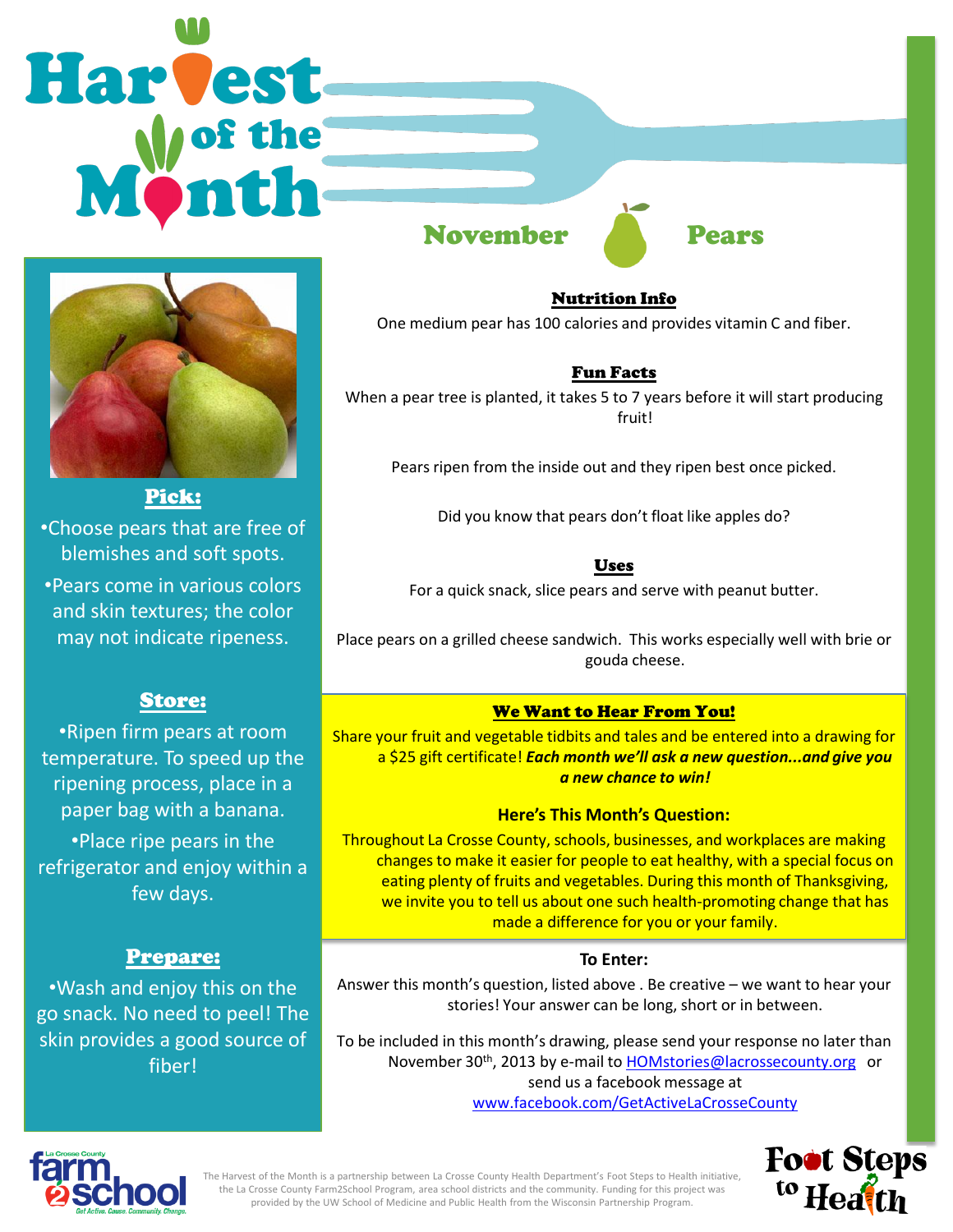# Harvest



•Choose pears that are free of blemishes and soft spots.

•Pears come in various colors and skin textures; the color may not indicate ripeness.

# Store:

•Ripen firm pears at room temperature. To speed up the ripening process, place in a paper bag with a banana. •Place ripe pears in the refrigerator and enjoy within a few days.

# Prepare:

•Wash and enjoy this on the go snack. No need to peel! The skin provides a good source of fiber!

November Pears

Nutrition Info One medium pear has 100 calories and provides vitamin C and fiber.

# Fun Facts

When a pear tree is planted, it takes 5 to 7 years before it will start producing fruit!

Pears ripen from the inside out and they ripen best once picked.

Did you know that pears don't float like apples do?

Uses

For a quick snack, slice pears and serve with peanut butter.

Place pears on a grilled cheese sandwich. This works especially well with brie or gouda cheese.

## We Want to Hear From You!

Share your fruit and vegetable tidbits and tales and be entered into a drawing for a \$25 gift certificate! *Each month we'll ask a new question...and give you a new chance to win!* 

## **Here's This Month's Question:**

Throughout La Crosse County, schools, businesses, and workplaces are making changes to make it easier for people to eat healthy, with a special focus on eating plenty of fruits and vegetables. During this month of Thanksgiving, we invite you to tell us about one such health-promoting change that has made a difference for you or your family.

## **To Enter:**

Answer this month's question, listed above . Be creative – we want to hear your stories! Your answer can be long, short or in between.

To be included in this month's drawing, please send your response no later than November 30<sup>th</sup>, 2013 by e-mail to [HOMstories@lacrossecounty.org](mailto:HOMstories@lacrossecounty.org) or send us a facebook message at [www.facebook.com/GetActiveLaCrosseCounty](http://www.facebook.com/GetActiveLaCrosseCounty)